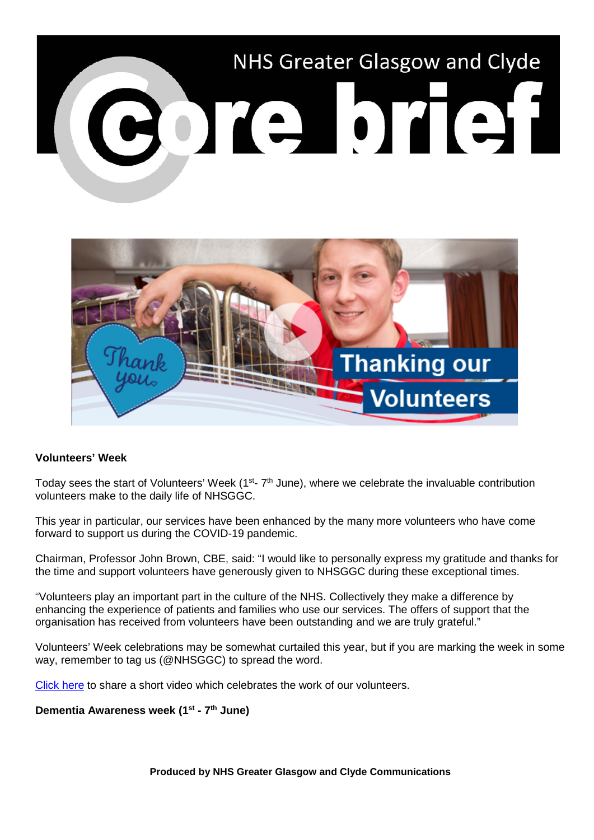



## **Volunteers' Week**

Today sees the start of Volunteers' Week ( $1<sup>st</sup>$ -  $7<sup>th</sup>$  June), where we celebrate the invaluable contribution volunteers make to the daily life of NHSGGC.

This year in particular, our services have been enhanced by the many more volunteers who have come forward to support us during the COVID-19 pandemic.

Chairman, Professor John Brown, CBE, said: "I would like to personally express my gratitude and thanks for the time and support volunteers have generously given to NHSGGC during these exceptional times.

"Volunteers play an important part in the culture of the NHS. Collectively they make a difference by enhancing the experience of patients and families who use our services. The offers of support that the organisation has received from volunteers have been outstanding and we are truly grateful."

Volunteers' Week celebrations may be somewhat curtailed this year, but if you are marking the week in some way, remember to tag us (@NHSGGC) to spread the word.

[Click here](https://www.youtube.com/watch?v=x5R9hr3wa5Y) to share a short video which celebrates the work of our volunteers.

## **Dementia Awareness week (1st - 7th June)**